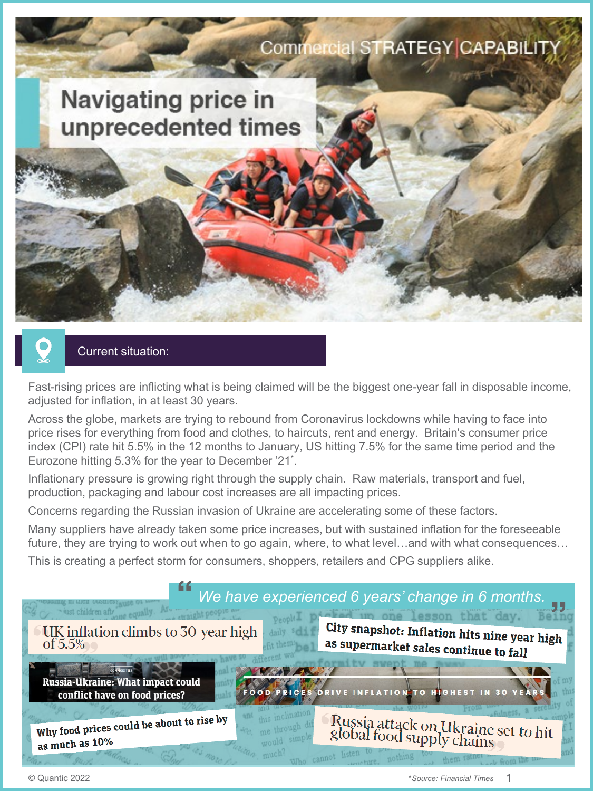

# Current situation:

Fast-rising prices are inflicting what is being claimed will be the biggest one-year fall in disposable income, adjusted for inflation, in at least 30 years.

Across the globe, markets are trying to rebound from Coronavirus lockdowns while having to face into price rises for everything from food and clothes, to haircuts, rent and energy. Britain's consumer price index (CPI) rate hit 5.5% in the 12 months to January, US hitting 7.5% for the same time period and the Eurozone hitting 5.3% for the year to December '21\* .

Inflationary pressure is growing right through the supply chain. Raw materials, transport and fuel, production, packaging and labour cost increases are all impacting prices.

Concerns regarding the Russian invasion of Ukraine are accelerating some of these factors.

Many suppliers have already taken some price increases, but with sustained inflation for the foreseeable future, they are trying to work out when to go again, where, to what level...and with what consequences...

This is creating a perfect storm for consumers, shoppers, retailers and CPG suppliers alike.

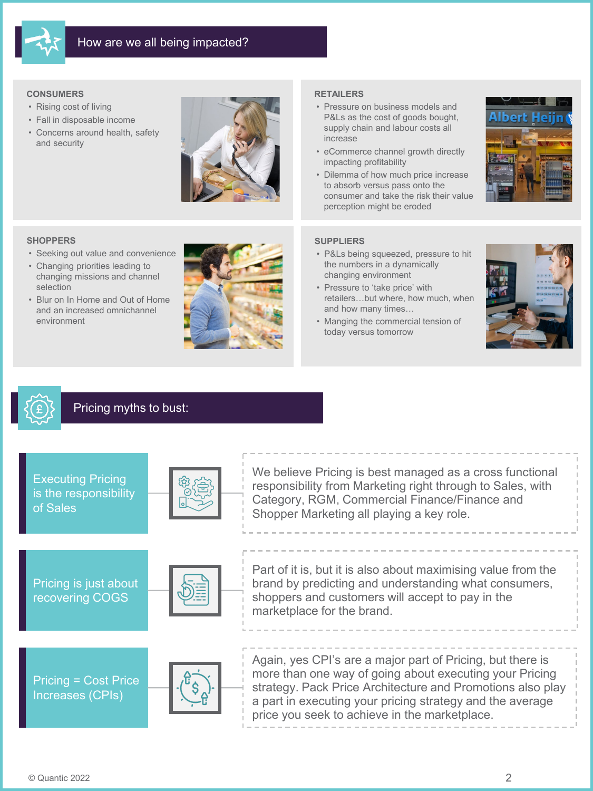

## **CONSUMERS**

- Rising cost of living
- Fall in disposable income
- Concerns around health, safety and security



### **SHOPPERS**

- Seeking out value and convenience
- Changing priorities leading to changing missions and channel selection
- Blur on In Home and Out of Home and an increased omnichannel environment



- **RETAILERS**
- Pressure on business models and P&Ls as the cost of goods bought, supply chain and labour costs all increase
- eCommerce channel growth directly impacting profitability
- Dilemma of how much price increase to absorb versus pass onto the consumer and take the risk their value perception might be eroded



## **SUPPLIERS**

- P&Ls being squeezed, pressure to hit the numbers in a dynamically changing environment
- Pressure to 'take price' with retailers…but where, how much, when and how many times…
- Manging the commercial tension of today versus tomorrow



# Pricing myths to bust:

| <b>Executing Pricing</b><br>is the responsibility<br>of Sales | We believe Pricing is best managed as a cross functional<br>responsibility from Marketing right through to Sales, with<br>Category, RGM, Commercial Finance/Finance and<br>Shopper Marketing all playing a key role.                                                                              |
|---------------------------------------------------------------|---------------------------------------------------------------------------------------------------------------------------------------------------------------------------------------------------------------------------------------------------------------------------------------------------|
| Pricing is just about<br>recovering COGS                      | Part of it is, but it is also about maximising value from the<br>brand by predicting and understanding what consumers,<br>shoppers and customers will accept to pay in the<br>marketplace for the brand.                                                                                          |
| Pricing = Cost Price<br>Increases (CPIs)                      | Again, yes CPI's are a major part of Pricing, but there is<br>more than one way of going about executing your Pricing<br>strategy. Pack Price Architecture and Promotions also play<br>a part in executing your pricing strategy and the average<br>price you seek to achieve in the marketplace. |